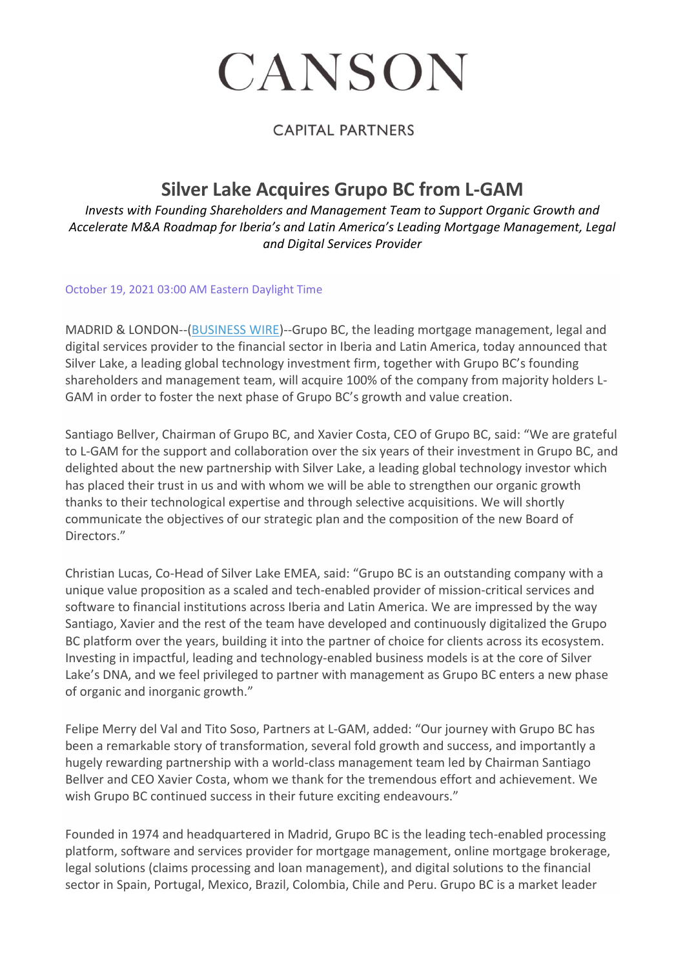# CANSON

### **CAPITAL PARTNERS**

# **Silver Lake Acquires Grupo BC from L-GAM**

*Invests with Founding Shareholders and Management Team to Support Organic Growth and Accelerate M&A Roadmap for Iberia's and Latin America's Leading Mortgage Management, Legal and Digital Services Provider*

#### October 19, 2021 03:00 AM Eastern Daylight Time

MADRID & LONDON--[\(BUSINESS WIRE\)](https://www.businesswire.com/)--Grupo BC, the leading mortgage management, legal and digital services provider to the financial sector in Iberia and Latin America, today announced that Silver Lake, a leading global technology investment firm, together with Grupo BC's founding shareholders and management team, will acquire 100% of the company from majority holders L-GAM in order to foster the next phase of Grupo BC's growth and value creation.

Santiago Bellver, Chairman of Grupo BC, and Xavier Costa, CEO of Grupo BC, said: "We are grateful to L-GAM for the support and collaboration over the six years of their investment in Grupo BC, and delighted about the new partnership with Silver Lake, a leading global technology investor which has placed their trust in us and with whom we will be able to strengthen our organic growth thanks to their technological expertise and through selective acquisitions. We will shortly communicate the objectives of our strategic plan and the composition of the new Board of Directors."

Christian Lucas, Co-Head of Silver Lake EMEA, said: "Grupo BC is an outstanding company with a unique value proposition as a scaled and tech-enabled provider of mission-critical services and software to financial institutions across Iberia and Latin America. We are impressed by the way Santiago, Xavier and the rest of the team have developed and continuously digitalized the Grupo BC platform over the years, building it into the partner of choice for clients across its ecosystem. Investing in impactful, leading and technology-enabled business models is at the core of Silver Lake's DNA, and we feel privileged to partner with management as Grupo BC enters a new phase of organic and inorganic growth."

Felipe Merry del Val and Tito Soso, Partners at L-GAM, added: "Our journey with Grupo BC has been a remarkable story of transformation, several fold growth and success, and importantly a hugely rewarding partnership with a world-class management team led by Chairman Santiago Bellver and CEO Xavier Costa, whom we thank for the tremendous effort and achievement. We wish Grupo BC continued success in their future exciting endeavours."

Founded in 1974 and headquartered in Madrid, Grupo BC is the leading tech-enabled processing platform, software and services provider for mortgage management, online mortgage brokerage, legal solutions (claims processing and loan management), and digital solutions to the financial sector in Spain, Portugal, Mexico, Brazil, Colombia, Chile and Peru. Grupo BC is a market leader